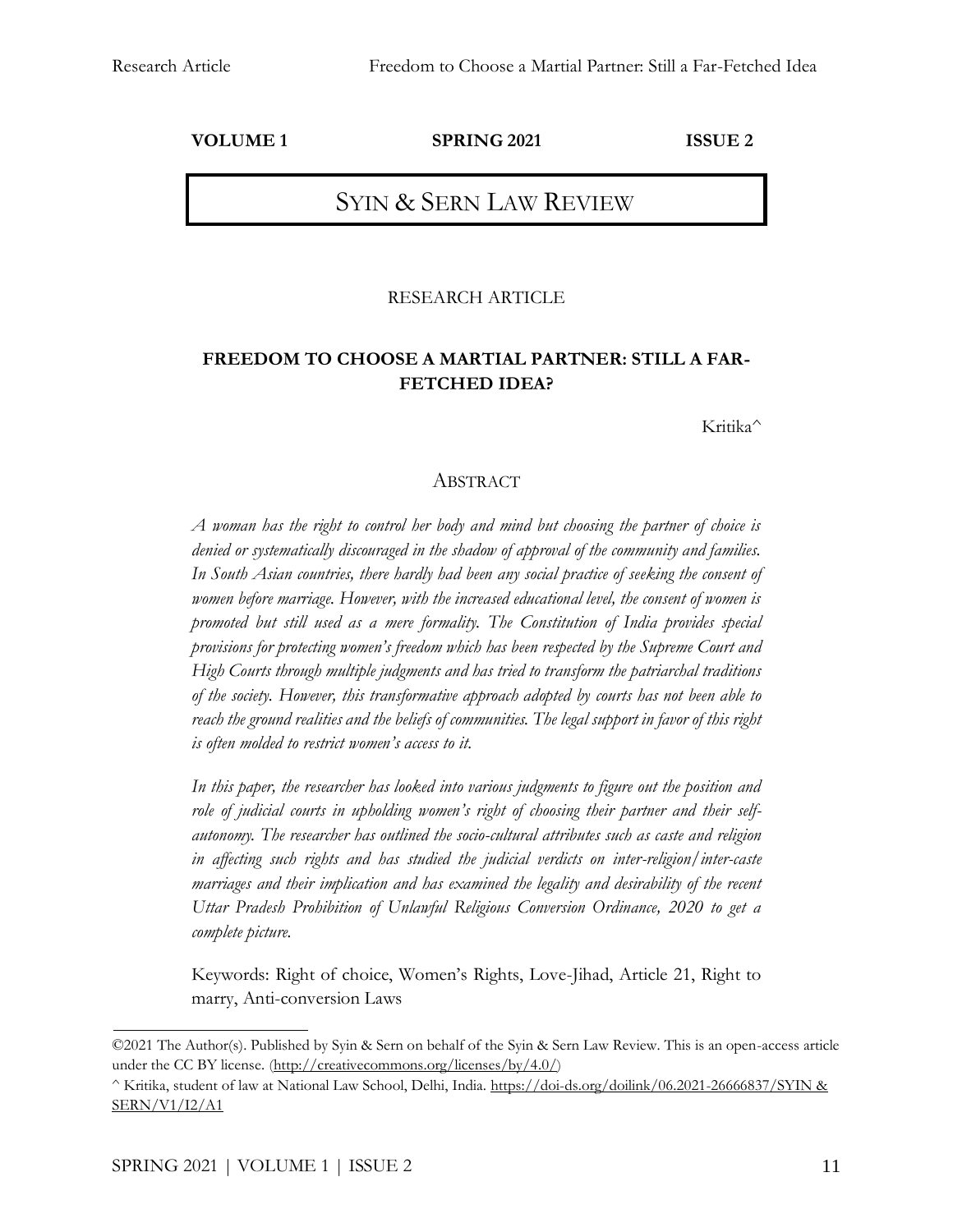**VOLUME 1 SPRING 2021 ISSUE 2**

# SYIN & SERN LAW REVIEW

#### RESEARCH ARTICLE

## **FREEDOM TO CHOOSE A MARTIAL PARTNER: STILL A FAR-FETCHED IDEA?**

Kritika^

#### ABSTRACT

*A woman has the right to control her body and mind but choosing the partner of choice is denied or systematically discouraged in the shadow of approval of the community and families. In South Asian countries, there hardly had been any social practice of seeking the consent of women before marriage. However, with the increased educational level, the consent of women is promoted but still used as a mere formality. The Constitution of India provides special provisions for protecting women's freedom which has been respected by the Supreme Court and High Courts through multiple judgments and has tried to transform the patriarchal traditions of the society. However, this transformative approach adopted by courts has not been able to reach the ground realities and the beliefs of communities. The legal support in favor of this right is often molded to restrict women's access to it.*

*In this paper, the researcher has looked into various judgments to figure out the position and role of judicial courts in upholding women's right of choosing their partner and their selfautonomy. The researcher has outlined the socio-cultural attributes such as caste and religion in affecting such rights and has studied the judicial verdicts on inter-religion/inter-caste marriages and their implication and has examined the legality and desirability of the recent Uttar Pradesh Prohibition of Unlawful Religious Conversion Ordinance, 2020 to get a complete picture.*

Keywords: Right of choice, Women's Rights, Love-Jihad, Article 21, Right to marry, Anti-conversion Laws

<sup>©2021</sup> The Author(s). Published by Syin & Sern on behalf of the Syin & Sern Law Review. This is an open-access article under the CC BY license. [\(http://creativecommons.org/licenses/by/4.0/\)](http://creativecommons.org/licenses/by/4.0/)

<sup>^</sup> Kritika, student of law at National Law School, Delhi, India. [https://doi-ds.org/doilink/06.2021-26666837/SYIN &](https://doi-ds.org/doilink/06.2021-26666837/SYIN%20&%20SERN/V1/I2/A1)  [SERN/V1/I2/A1](https://doi-ds.org/doilink/06.2021-26666837/SYIN%20&%20SERN/V1/I2/A1)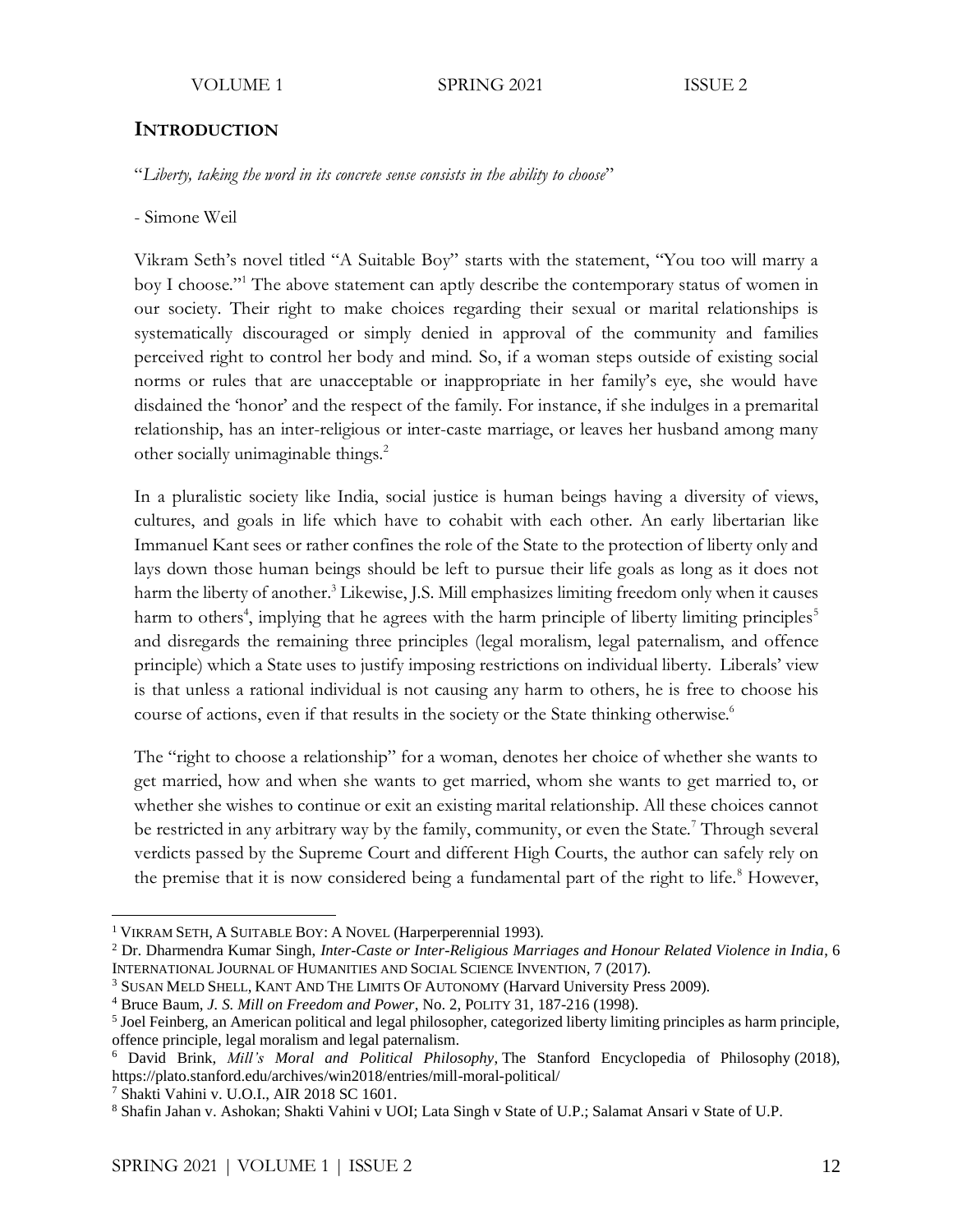### **INTRODUCTION**

"*Liberty, taking the word in its concrete sense consists in the ability to choose*"

- Simone Weil

Vikram Seth's novel titled "A Suitable Boy" starts with the statement, "You too will marry a boy I choose."<sup>1</sup> The above statement can aptly describe the contemporary status of women in our society. Their right to make choices regarding their sexual or marital relationships is systematically discouraged or simply denied in approval of the community and families perceived right to control her body and mind. So, if a woman steps outside of existing social norms or rules that are unacceptable or inappropriate in her family's eye, she would have disdained the 'honor' and the respect of the family. For instance, if she indulges in a premarital relationship, has an inter-religious or inter-caste marriage, or leaves her husband among many other socially unimaginable things.<sup>2</sup>

In a pluralistic society like India, social justice is human beings having a diversity of views, cultures, and goals in life which have to cohabit with each other. An early libertarian like Immanuel Kant sees or rather confines the role of the State to the protection of liberty only and lays down those human beings should be left to pursue their life goals as long as it does not harm the liberty of another. <sup>3</sup> Likewise, J.S. Mill emphasizes limiting freedom only when it causes harm to others<sup>4</sup>, implying that he agrees with the harm principle of liberty limiting principles<sup>5</sup> and disregards the remaining three principles (legal moralism, legal paternalism, and offence principle) which a State uses to justify imposing restrictions on individual liberty. Liberals' view is that unless a rational individual is not causing any harm to others, he is free to choose his course of actions, even if that results in the society or the State thinking otherwise.<sup>6</sup>

The "right to choose a relationship" for a woman, denotes her choice of whether she wants to get married, how and when she wants to get married, whom she wants to get married to, or whether she wishes to continue or exit an existing marital relationship. All these choices cannot be restricted in any arbitrary way by the family, community, or even the State.<sup>7</sup> Through several verdicts passed by the Supreme Court and different High Courts, the author can safely rely on the premise that it is now considered being a fundamental part of the right to life.<sup>8</sup> However,

<sup>7</sup> Shakti Vahini v. U.O.I., AIR 2018 SC 1601.

<sup>1</sup> VIKRAM SETH, A SUITABLE BOY: A NOVEL (Harperperennial 1993).

<sup>2</sup> Dr. Dharmendra Kumar Singh, *Inter-Caste or Inter-Religious Marriages and Honour Related Violence in India*, 6 INTERNATIONAL JOURNAL OF HUMANITIES AND SOCIAL SCIENCE INVENTION, 7 (2017).

<sup>3</sup> SUSAN MELD SHELL, KANT AND THE LIMITS OF AUTONOMY (Harvard University Press 2009).

<sup>4</sup> Bruce Baum, *J. S. Mill on Freedom and Power*, No. 2, POLITY 31, 187-216 (1998).

<sup>&</sup>lt;sup>5</sup> Joel Feinberg, an American political and legal philosopher, categorized liberty limiting principles as harm principle, offence principle, legal moralism and legal paternalism.

<sup>6</sup> David Brink, *Mill's Moral and Political Philosophy*, The Stanford Encyclopedia of Philosophy (2018), <https://plato.stanford.edu/archives/win2018/entries/mill-moral-political/>

<sup>8</sup> Shafin Jahan v. Ashokan; Shakti Vahini v UOI; Lata Singh v State of U.P.; Salamat Ansari v State of U.P.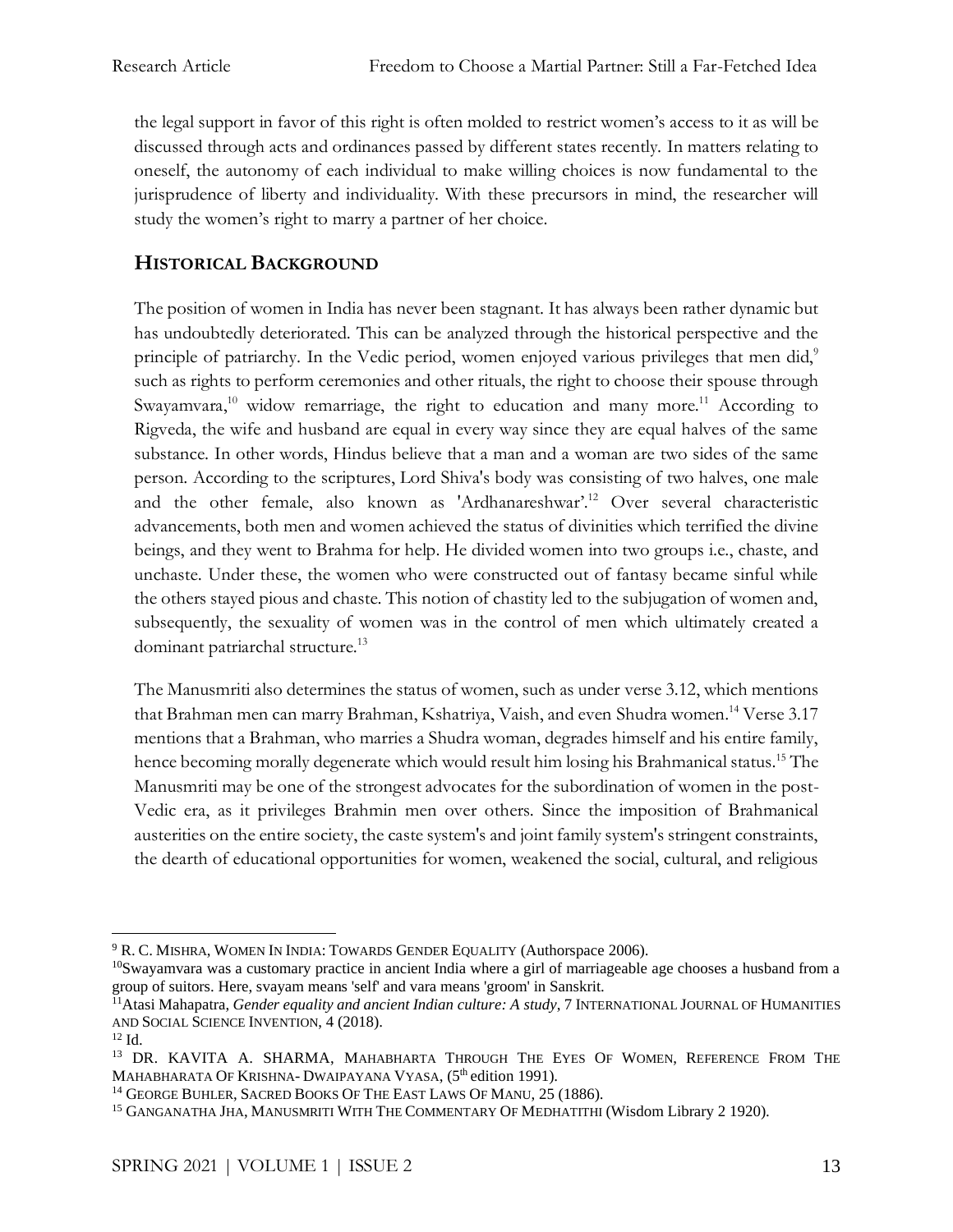the legal support in favor of this right is often molded to restrict women's access to it as will be discussed through acts and ordinances passed by different states recently. In matters relating to oneself, the autonomy of each individual to make willing choices is now fundamental to the jurisprudence of liberty and individuality. With these precursors in mind, the researcher will study the women's right to marry a partner of her choice.

# **HISTORICAL BACKGROUND**

The position of women in India has never been stagnant. It has always been rather dynamic but has undoubtedly deteriorated. This can be analyzed through the historical perspective and the principle of patriarchy. In the Vedic period, women enjoyed various privileges that men did,<sup>9</sup> such as rights to perform ceremonies and other rituals, the right to choose their spouse through Swayamvara,<sup>10</sup> widow remarriage, the right to education and many more.<sup>11</sup> According to Rigveda, the wife and husband are equal in every way since they are equal halves of the same substance. In other words, Hindus believe that a man and a woman are two sides of the same person. According to the scriptures, Lord Shiva's body was consisting of two halves, one male and the other female, also known as 'Ardhanareshwar'. <sup>12</sup> Over several characteristic advancements, both men and women achieved the status of divinities which terrified the divine beings, and they went to Brahma for help. He divided women into two groups i.e., chaste, and unchaste. Under these, the women who were constructed out of fantasy became sinful while the others stayed pious and chaste. This notion of chastity led to the subjugation of women and, subsequently, the sexuality of women was in the control of men which ultimately created a dominant patriarchal structure.<sup>13</sup>

The Manusmriti also determines the status of women, such as under verse 3.12, which mentions that Brahman men can marry Brahman, Kshatriya, Vaish, and even Shudra women. <sup>14</sup> Verse 3.17 mentions that a Brahman, who marries a Shudra woman, degrades himself and his entire family, hence becoming morally degenerate which would result him losing his Brahmanical status.<sup>15</sup> The Manusmriti may be one of the strongest advocates for the subordination of women in the post-Vedic era, as it privileges Brahmin men over others. Since the imposition of Brahmanical austerities on the entire society, the caste system's and joint family system's stringent constraints, the dearth of educational opportunities for women, weakened the social, cultural, and religious

<sup>&</sup>lt;sup>9</sup> R. C. MISHRA, WOMEN IN INDIA: TOWARDS GENDER EQUALITY (Authorspace 2006).

<sup>&</sup>lt;sup>10</sup>Swayamvara was a customary practice in ancient India where a girl of marriageable age chooses a husband from a group of suitors. Here, svayam means 'self' and vara means 'groom' in Sanskrit.

<sup>&</sup>lt;sup>11</sup>Atasi Mahapatra, *Gender equality and ancient Indian culture: A study*, 7 INTERNATIONAL JOURNAL OF HUMANITIES AND SOCIAL SCIENCE INVENTION, 4 (2018).

<sup>12</sup> Id.

<sup>&</sup>lt;sup>13</sup> DR. KAVITA A. SHARMA, MAHABHARTA THROUGH THE EYES OF WOMEN, REFERENCE FROM THE MAHABHARATA OF KRISHNA- DWAIPAYANA VYASA, (5<sup>th</sup> edition 1991).

<sup>&</sup>lt;sup>14</sup> GEORGE BUHLER, SACRED BOOKS OF THE EAST LAWS OF MANU, 25 (1886).

<sup>&</sup>lt;sup>15</sup> GANGANATHA JHA, MANUSMRITI WITH THE COMMENTARY OF MEDHATITHI (Wisdom Library 2 1920).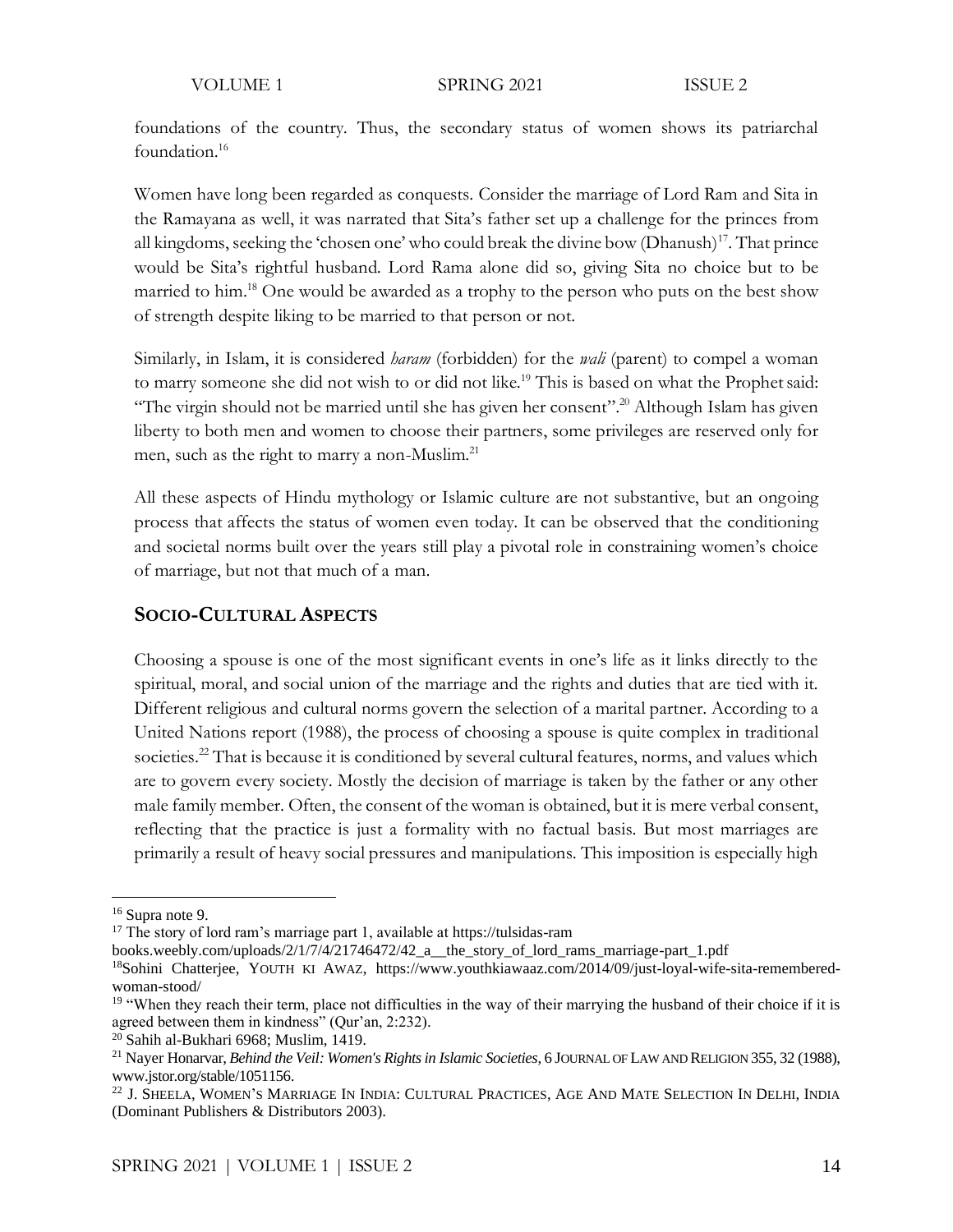foundations of the country. Thus, the secondary status of women shows its patriarchal foundation.<sup>16</sup>

Women have long been regarded as conquests. Consider the marriage of Lord Ram and Sita in the Ramayana as well, it was narrated that Sita's father set up a challenge for the princes from all kingdoms, seeking the 'chosen one' who could break the divine bow (Dhanush)<sup>17</sup>. That prince would be Sita's rightful husband. Lord Rama alone did so, giving Sita no choice but to be married to him.<sup>18</sup> One would be awarded as a trophy to the person who puts on the best show of strength despite liking to be married to that person or not.

Similarly, in Islam, it is considered *haram* (forbidden) for the *wali* (parent) to compel a woman to marry someone she did not wish to or did not like.<sup>19</sup> This is based on what the Prophet said: "The virgin should not be married until she has given her consent".<sup>20</sup> Although Islam has given liberty to both men and women to choose their partners, some privileges are reserved only for men, such as the right to marry a non-Muslim.<sup>21</sup>

All these aspects of Hindu mythology or Islamic culture are not substantive, but an ongoing process that affects the status of women even today. It can be observed that the conditioning and societal norms built over the years still play a pivotal role in constraining women's choice of marriage, but not that much of a man.

## **SOCIO-CULTURAL ASPECTS**

Choosing a spouse is one of the most significant events in one's life as it links directly to the spiritual, moral, and social union of the marriage and the rights and duties that are tied with it. Different religious and cultural norms govern the selection of a marital partner. According to a United Nations report (1988), the process of choosing a spouse is quite complex in traditional societies.<sup>22</sup> That is because it is conditioned by several cultural features, norms, and values which are to govern every society. Mostly the decision of marriage is taken by the father or any other male family member. Often, the consent of the woman is obtained, but it is mere verbal consent, reflecting that the practice is just a formality with no factual basis. But most marriages are primarily a result of heavy social pressures and manipulations. This imposition is especially high

<sup>16</sup> Supra note 9.

<sup>&</sup>lt;sup>17</sup> The story of lord ram's marriage part 1, available at https://tulsidas-ram

books.weebly.com/uploads/2/1/7/4/21746472/42\_a\_\_the\_story\_of\_lord\_rams\_marriage-part\_1.pdf

<sup>&</sup>lt;sup>18</sup>Sohini Chatterjee, YOUTH KI AWAZ, [https://www.youthkiawaaz.com/2014/09/just-loyal-wife-sita-remembered](https://www.youthkiawaaz.com/2014/09/just-loyal-wife-sita-remembered-woman-stood/)[woman-stood/](https://www.youthkiawaaz.com/2014/09/just-loyal-wife-sita-remembered-woman-stood/)

<sup>&</sup>lt;sup>19</sup> "When they reach their term, place not difficulties in the way of their marrying the husband of their choice if it is agreed between them in kindness" (Qur'an, 2:232).

<sup>20</sup> Sahih al-Bukhari 6968; Muslim, 1419.

<sup>21</sup> Nayer Honarvar, *Behind the Veil: Women's Rights in Islamic Societies*, 6 JOURNAL OF LAW AND RELIGION 355, 32 (1988), [www.jstor.org/stable/1051156.](http://www.jstor.org/stable/1051156)

<sup>22</sup> J. SHEELA, WOMEN'S MARRIAGE IN INDIA: CULTURAL PRACTICES, AGE AND MATE SELECTION IN DELHI, INDIA (Dominant Publishers & Distributors 2003).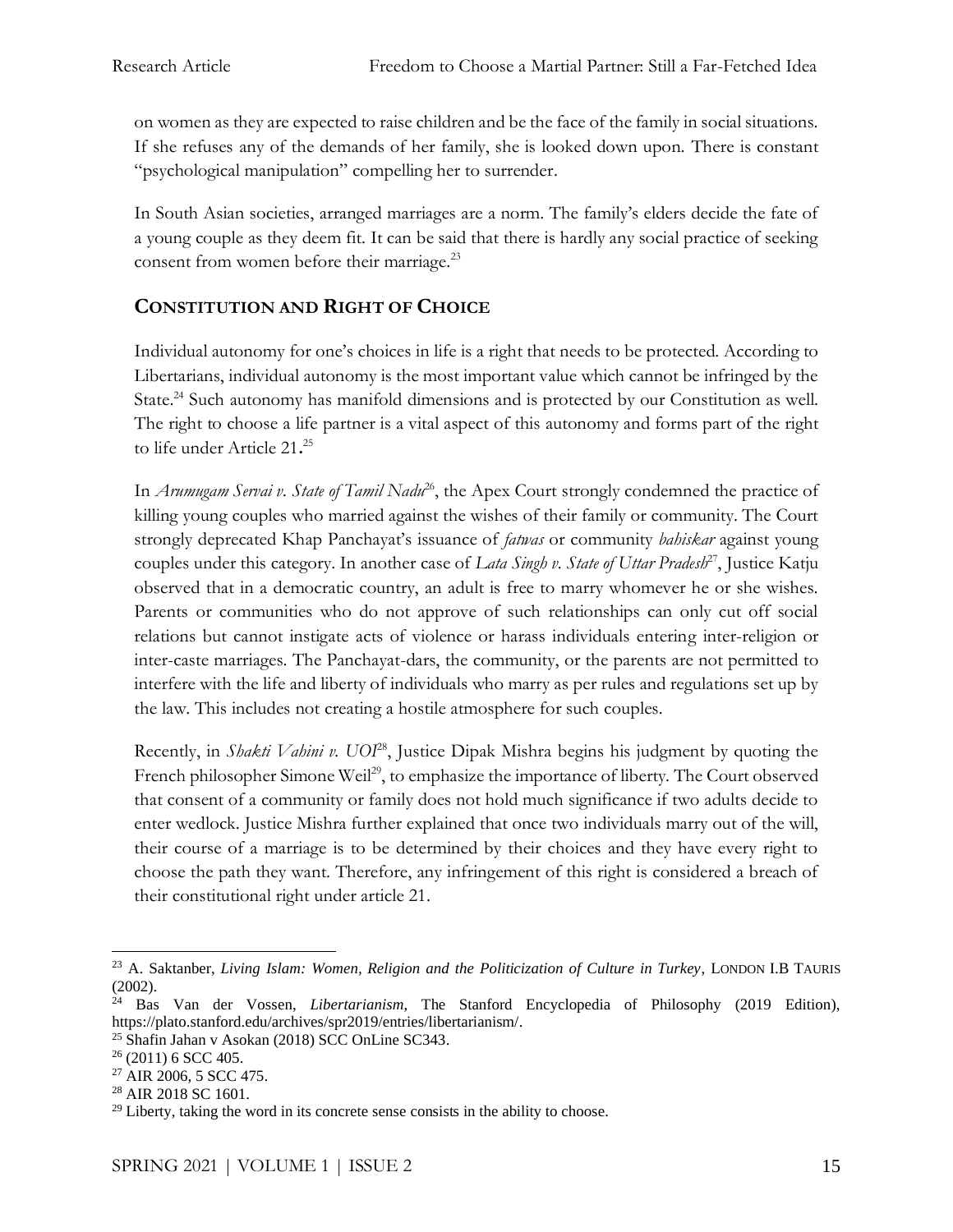on women as they are expected to raise children and be the face of the family in social situations. If she refuses any of the demands of her family, she is looked down upon. There is constant "psychological manipulation" compelling her to surrender.

In South Asian societies, arranged marriages are a norm. The family's elders decide the fate of a young couple as they deem fit. It can be said that there is hardly any social practice of seeking consent from women before their marriage.<sup>23</sup>

# **CONSTITUTION AND RIGHT OF CHOICE**

Individual autonomy for one's choices in life is a right that needs to be protected. According to Libertarians, individual autonomy is the most important value which cannot be infringed by the State.<sup>24</sup> Such autonomy has manifold dimensions and is protected by our Constitution as well. The right to choose a life partner is a vital aspect of this autonomy and forms part of the right to life under Article 21**.** 25

In *Arumugam Servai v. State of Tamil Nadu<sup>26</sup>*, the Apex Court strongly condemned the practice of killing young couples who married against the wishes of their family or community. The Court strongly deprecated Khap Panchayat's issuance of *fatwas* or community *bahiskar* against young couples under this category. In another case of *Lata Singh v. State of Uttar Pradesh*<sup>27</sup>, Justice Katju observed that in a democratic country, an adult is free to marry whomever he or she wishes. Parents or communities who do not approve of such relationships can only cut off social relations but cannot instigate acts of violence or harass individuals entering inter-religion or inter-caste marriages. The Panchayat-dars, the community, or the parents are not permitted to interfere with the life and liberty of individuals who marry as per rules and regulations set up by the law. This includes not creating a hostile atmosphere for such couples.

Recently, in *Shakti Vahini v. UOI*<sup>28</sup>, Justice Dipak Mishra begins his judgment by quoting the French philosopher Simone Weil<sup>29</sup>, to emphasize the importance of liberty. The Court observed that consent of a community or family does not hold much significance if two adults decide to enter wedlock. Justice Mishra further explained that once two individuals marry out of the will, their course of a marriage is to be determined by their choices and they have every right to choose the path they want. Therefore, any infringement of this right is considered a breach of their constitutional right under article 21.

<sup>23</sup> A. Saktanber, *Living Islam: Women, Religion and the Politicization of Culture in Turkey*, LONDON I.B TAURIS (2002).

<sup>24</sup> Bas Van der Vossen, *Libertarianism*, The Stanford Encyclopedia of Philosophy (2019 Edition), [https://plato.stanford.edu/archives/spr2019/entries/libertarianism/.](https://plato.stanford.edu/archives/spr2019/entries/libertarianism/)

<sup>25</sup> Shafin Jahan v Asokan (2018) SCC OnLine SC343.

 $26$  (2011) 6 SCC 405.

<sup>27</sup> AIR 2006, 5 SCC 475.

<sup>28</sup> AIR 2018 SC 1601.

 $29$  Liberty, taking the word in its concrete sense consists in the ability to choose.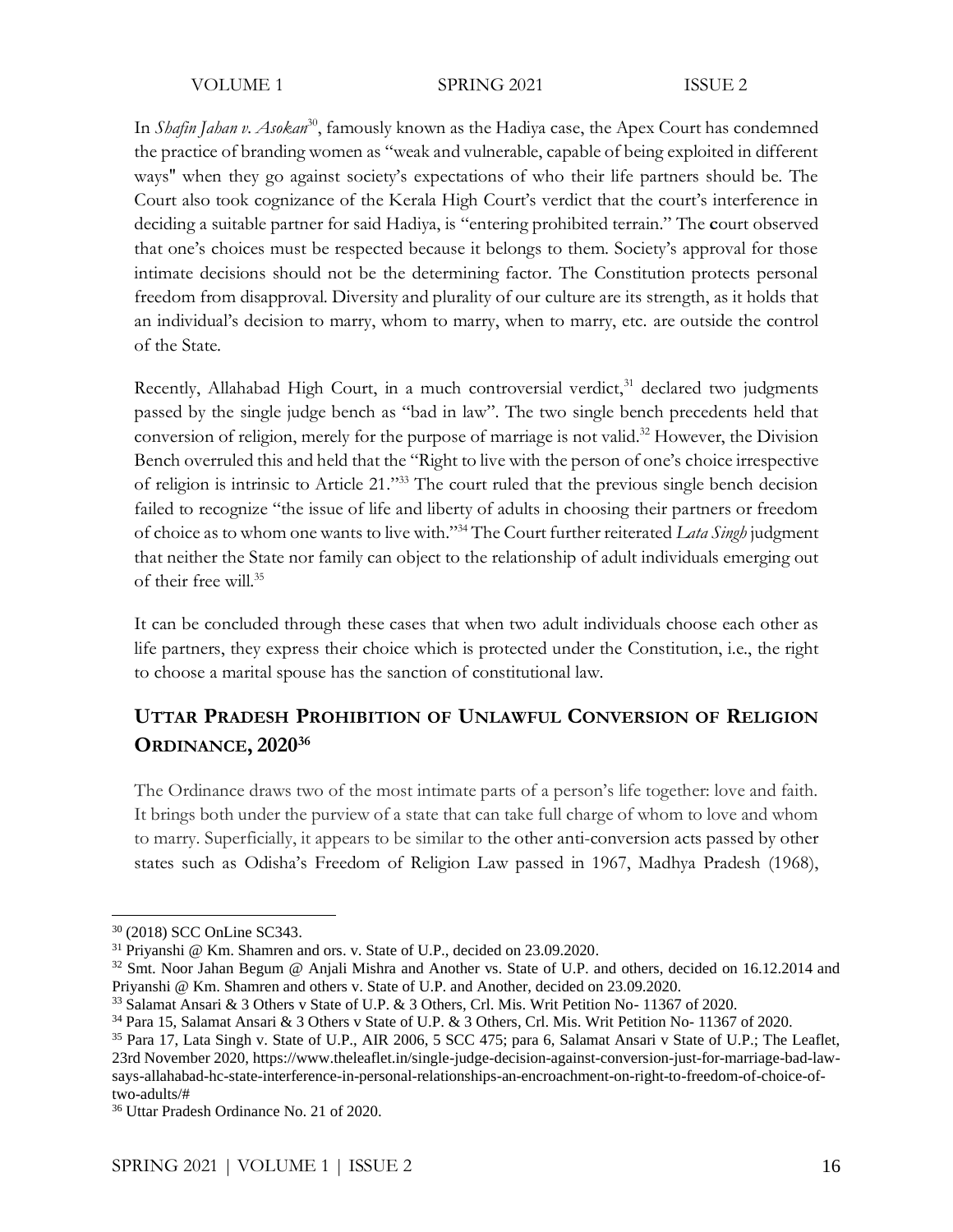VOLUME 1 SPRING 2021 ISSUE 2

In *Shafin Jahan v. Asokan*<sup>30</sup>, famously known as the Hadiya case, the Apex Court has condemned the practice of branding women as "weak and vulnerable, capable of being exploited in different ways'' when they go against society's expectations of who their life partners should be. The Court also took cognizance of the Kerala High Court's verdict that the court's interference in deciding a suitable partner for said Hadiya, is "entering prohibited terrain." The **c**ourt observed that one's choices must be respected because it belongs to them. Society's approval for those intimate decisions should not be the determining factor. The Constitution protects personal freedom from disapproval. Diversity and plurality of our culture are its strength, as it holds that an individual's decision to marry, whom to marry, when to marry, etc. are outside the control of the State.

Recently, Allahabad High Court, in a much controversial verdict,<sup>31</sup> declared two judgments passed by the single judge bench as "bad in law". The two single bench precedents held that conversion of religion, merely for the purpose of marriage is not valid.<sup>32</sup> However, the Division Bench overruled this and held that the "Right to live with the person of one's choice irrespective of religion is intrinsic to Article 21." <sup>33</sup> The court ruled that the previous single bench decision failed to recognize "the issue of life and liberty of adults in choosing their partners or freedom of choice as to whom one wants to live with."<sup>34</sup> The Court further reiterated *Lata Singh* judgment that neither the State nor family can object to the relationship of adult individuals emerging out of their free will.<sup>35</sup>

It can be concluded through these cases that when two adult individuals choose each other as life partners, they express their choice which is protected under the Constitution, i.e., the right to choose a marital spouse has the sanction of constitutional law.

# **UTTAR PRADESH PROHIBITION OF UNLAWFUL CONVERSION OF RELIGION ORDINANCE, 2020<sup>36</sup>**

The Ordinance draws two of the most intimate parts of a person's life together: love and faith. It brings both under the purview of a state that can take full charge of whom to love and whom to marry. Superficially, it appears to be similar to the other anti-conversion acts passed by other states such as Odisha's Freedom of Religion Law passed in 1967, Madhya Pradesh (1968),

<sup>30</sup> (2018) SCC OnLine SC343.

<sup>&</sup>lt;sup>31</sup> Priyanshi @ Km. Shamren and ors. v. State of U.P., decided on 23.09.2020.

<sup>&</sup>lt;sup>32</sup> Smt. Noor Jahan Begum @ Anjali Mishra and Another vs. State of U.P. and others, decided on 16.12.2014 and Priyanshi @ Km. Shamren and others v. State of U.P. and Another, decided on 23.09.2020.

<sup>33</sup> Salamat Ansari & 3 Others v State of U.P. & 3 Others, Crl. Mis. Writ Petition No- 11367 of 2020.

<sup>34</sup> Para 15, Salamat Ansari & 3 Others v State of U.P. & 3 Others, Crl. Mis. Writ Petition No- 11367 of 2020.

<sup>&</sup>lt;sup>35</sup> Para 17, Lata Singh v. State of U.P., AIR 2006, 5 SCC 475; para 6, Salamat Ansari v State of U.P.; The Leaflet, 23rd November 2020, [https://www.theleaflet.in/single-judge-decision-against-conversion-just-for-marriage-bad-law](https://www.theleaflet.in/single-judge-decision-against-conversion-just-for-marriage-bad-law-says-allahabad-hc-state-interference-in-personal-relationships-an-encroachment-on-right-to-freedom-of-choice-of-two-adults/)[says-allahabad-hc-state-interference-in-personal-relationships-an-encroachment-on-right-to-freedom-of-choice-of](https://www.theleaflet.in/single-judge-decision-against-conversion-just-for-marriage-bad-law-says-allahabad-hc-state-interference-in-personal-relationships-an-encroachment-on-right-to-freedom-of-choice-of-two-adults/)[two-adults/#](https://www.theleaflet.in/single-judge-decision-against-conversion-just-for-marriage-bad-law-says-allahabad-hc-state-interference-in-personal-relationships-an-encroachment-on-right-to-freedom-of-choice-of-two-adults/)

<sup>36</sup> Uttar Pradesh Ordinance No. 21 of 2020.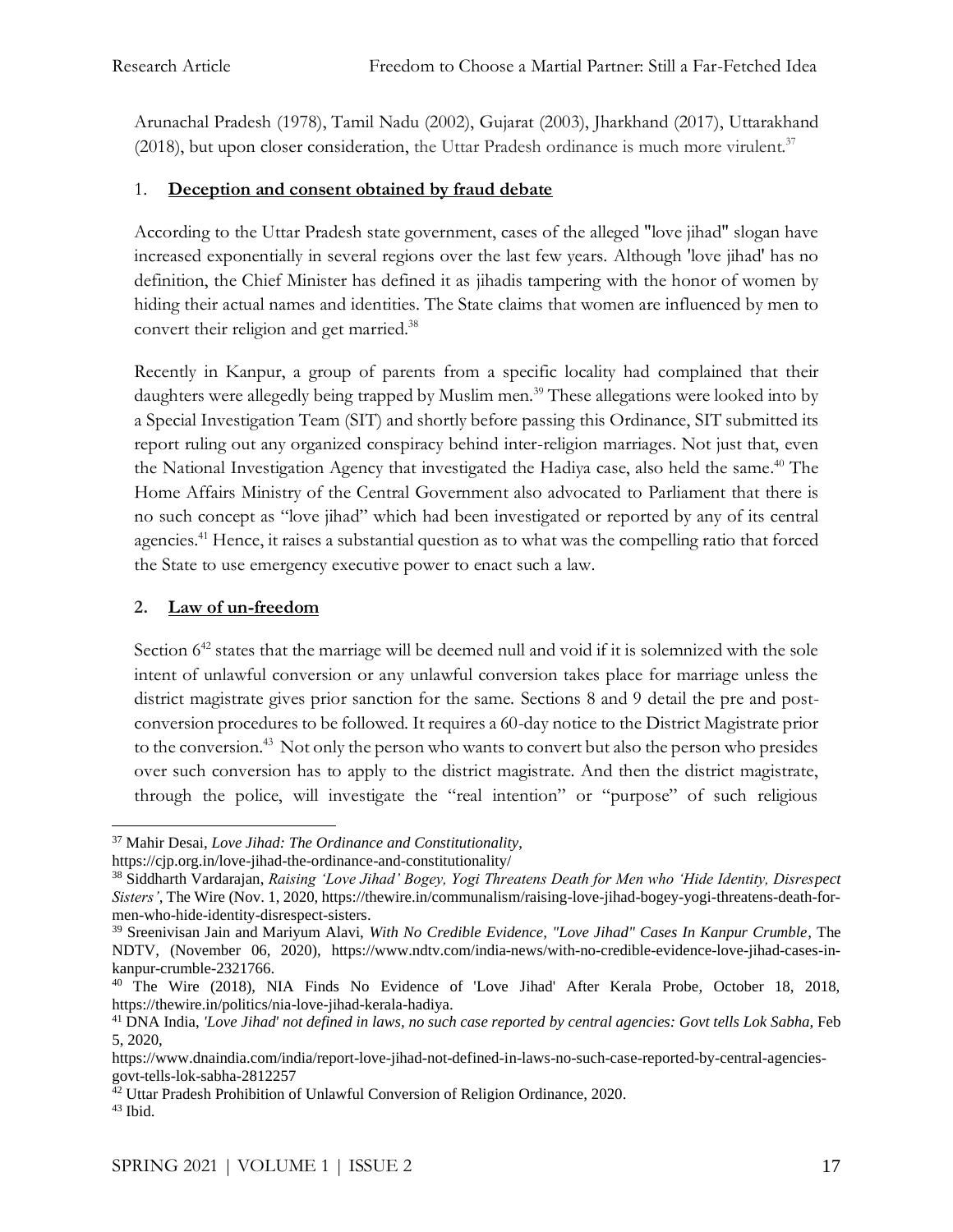Arunachal Pradesh (1978), Tamil Nadu (2002), Gujarat (2003), Jharkhand (2017), Uttarakhand (2018), but upon closer consideration, the Uttar Pradesh ordinance is much more virulent. $37$ 

## 1. **Deception and consent obtained by fraud debate**

According to the Uttar Pradesh state government, cases of the alleged "love jihad" slogan have increased exponentially in several regions over the last few years. Although 'love jihad' has no definition, the Chief Minister has defined it as jihadis tampering with the honor of women by hiding their actual names and identities. The State claims that women are influenced by men to convert their religion and get married.<sup>38</sup>

Recently in Kanpur, a group of parents from a specific locality had complained that their daughters were allegedly being trapped by Muslim men.<sup>39</sup> These allegations were looked into by a Special Investigation Team (SIT) and shortly before passing this Ordinance, SIT submitted its report ruling out any organized conspiracy behind inter-religion marriages. Not just that, even the National Investigation Agency that investigated the Hadiya case, also held the same. <sup>40</sup> The Home Affairs Ministry of the Central Government also advocated to Parliament that there is no such concept as "love jihad" which had been investigated or reported by any of its central agencies.<sup>41</sup> Hence, it raises a substantial question as to what was the compelling ratio that forced the State to use emergency executive power to enact such a law.

## **2. Law of un-freedom**

Section  $6^{42}$  states that the marriage will be deemed null and void if it is solemnized with the sole intent of unlawful conversion or any unlawful conversion takes place for marriage unless the district magistrate gives prior sanction for the same. Sections 8 and 9 detail the pre and postconversion procedures to be followed. It requires a 60-day notice to the District Magistrate prior to the conversion.<sup>43</sup> Not only the person who wants to convert but also the person who presides over such conversion has to apply to the district magistrate. And then the district magistrate, through the police, will investigate the "real intention" or "purpose" of such religious

<sup>37</sup> Mahir Desai, *Love Jihad: The Ordinance and Constitutionality*,

<https://cjp.org.in/love-jihad-the-ordinance-and-constitutionality/>

<sup>38</sup> Siddharth Vardarajan, *Raising 'Love Jihad' Bogey, Yogi Threatens Death for Men who 'Hide Identity, Disrespect Sisters'*, The Wire (Nov. 1, 2020, [https://thewire.in/communalism/raising-love-jihad-bogey-yogi-threatens-death-for](https://thewire.in/communalism/raising-love-jihad-bogey-yogi-threatens-death-for-men-who-hide-identity-disrespect-sisters)[men-who-hide-identity-disrespect-sisters.](https://thewire.in/communalism/raising-love-jihad-bogey-yogi-threatens-death-for-men-who-hide-identity-disrespect-sisters)

<sup>39</sup> Sreenivisan Jain and Mariyum Alavi, *With No Credible Evidence, "Love Jihad" Cases In Kanpur Crumble*, The NDTV, (November 06, 2020), [https://www.ndtv.com/india-news/with-no-credible-evidence-love-jihad-cases-in](https://www.ndtv.com/india-news/with-no-credible-evidence-love-jihad-cases-in-kanpur-crumble-2321766)[kanpur-crumble-2321766.](https://www.ndtv.com/india-news/with-no-credible-evidence-love-jihad-cases-in-kanpur-crumble-2321766)

<sup>&</sup>lt;sup>40</sup> The Wire (2018), NIA Finds No Evidence of 'Love Jihad' After Kerala Probe, October 18, 2018, [https://thewire.in/politics/nia-love-jihad-kerala-hadiya.](https://thewire.in/politics/nia-love-jihad-kerala-hadiya)

<sup>41</sup> DNA India, *'Love Jihad' not defined in laws, no such case reported by central agencies: Govt tells Lok Sabha*, Feb 5, 2020,

[https://www.dnaindia.com/india/report-love-jihad-not-defined-in-laws-no-such-case-reported-by-central-agencies](https://www.dnaindia.com/india/report-love-jihad-not-defined-in-laws-no-such-case-reported-by-central-agencies-govt-tells-lok-sabha-2812257)[govt-tells-lok-sabha-2812257](https://www.dnaindia.com/india/report-love-jihad-not-defined-in-laws-no-such-case-reported-by-central-agencies-govt-tells-lok-sabha-2812257)

<sup>&</sup>lt;sup>42</sup> Uttar Pradesh Prohibition of Unlawful Conversion of Religion Ordinance, 2020.  $43$  Ibid.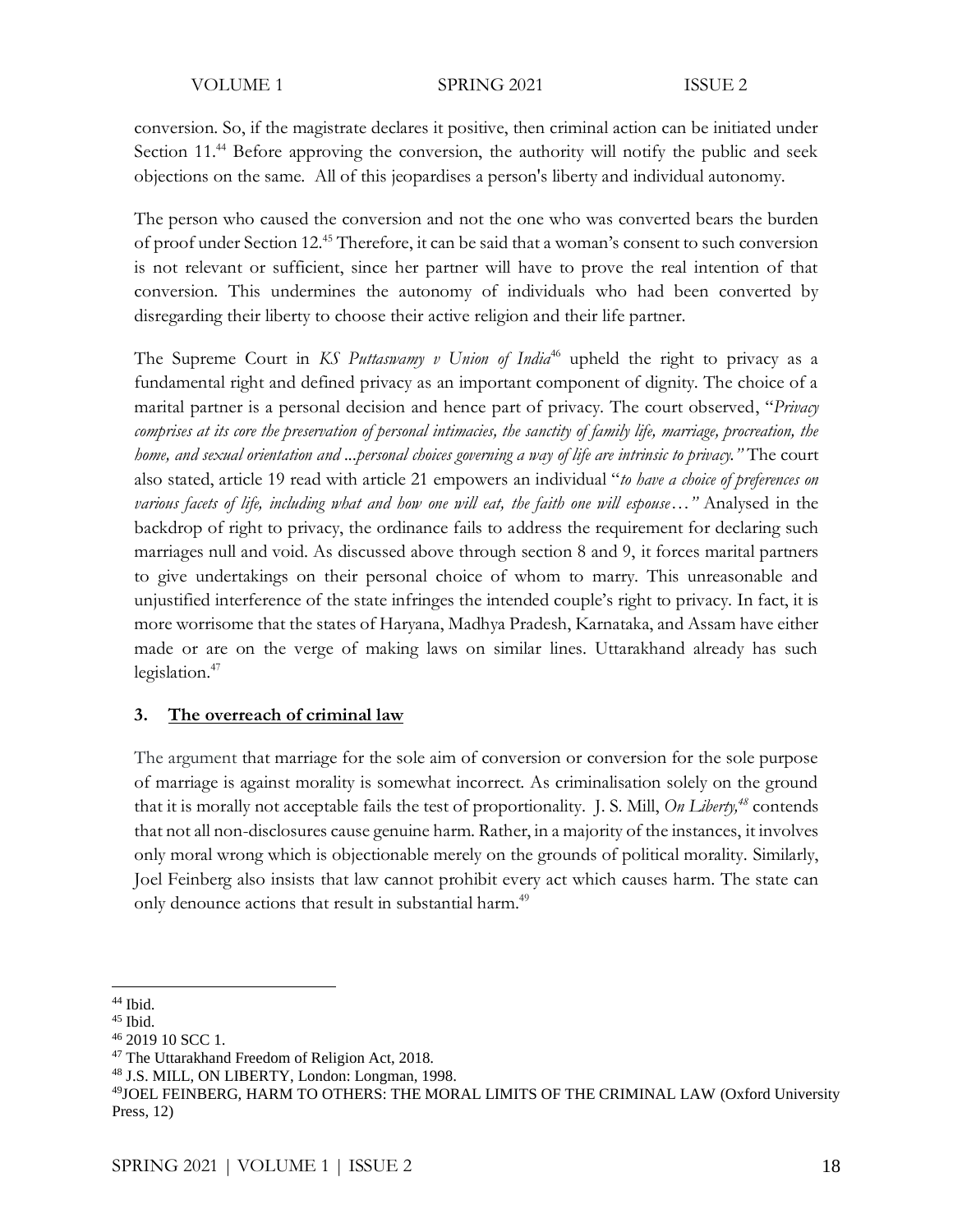VOLUME 1 SPRING 2021 ISSUE 2

conversion. So, if the magistrate declares it positive, then criminal action can be initiated under Section 11.<sup>44</sup> Before approving the conversion, the authority will notify the public and seek objections on the same. All of this jeopardises a person's liberty and individual autonomy.

The person who caused the conversion and not the one who was converted bears the burden of proof under Section 12.<sup>45</sup> Therefore, it can be said that a woman's consent to such conversion is not relevant or sufficient, since her partner will have to prove the real intention of that conversion. This undermines the autonomy of individuals who had been converted by disregarding their liberty to choose their active religion and their life partner.

The Supreme Court in *KS Puttaswamy v Union of India<sup>46</sup>* upheld the right to privacy as a fundamental right and defined privacy as an important component of dignity. The choice of a marital partner is a personal decision and hence part of privacy. The court observed, "*Privacy comprises at its core the preservation of personal intimacies, the sanctity of family life, marriage, procreation, the home, and sexual orientation and ...personal choices governing a way of life are intrinsic to privacy."* The court also stated, article 19 read with article 21 empowers an individual "*to have a choice of preferences on various facets of life, including what and how one will eat, the faith one will espouse…"* Analysed in the backdrop of right to privacy, the ordinance fails to address the requirement for declaring such marriages null and void. As discussed above through section 8 and 9, it forces marital partners to give undertakings on their personal choice of whom to marry. This unreasonable and unjustified interference of the state infringes the intended couple's right to privacy. In fact, it is more worrisome that the states of Haryana, Madhya Pradesh, Karnataka, and Assam have either made or are on the verge of making laws on similar lines. Uttarakhand already has such legislation.<sup>47</sup>

### **3. The overreach of criminal law**

The argument that marriage for the sole aim of conversion or conversion for the sole purpose of marriage is against morality is somewhat incorrect. As criminalisation solely on the ground that it is morally not acceptable fails the test of proportionality. J. S. Mill, *On Liberty,<sup>48</sup>* contends that not all non-disclosures cause genuine harm. Rather, in a majority of the instances, it involves only moral wrong which is objectionable merely on the grounds of political morality. Similarly, Joel Feinberg also insists that law cannot prohibit every act which causes harm. The state can only denounce actions that result in substantial harm.<sup>49</sup>

<sup>44</sup> Ibid.

<sup>45</sup> Ibid.

<sup>46</sup> 2019 10 SCC 1.

<sup>&</sup>lt;sup>47</sup> The Uttarakhand Freedom of Religion Act, 2018.

<sup>48</sup> J.S. MILL, ON LIBERTY, London: Longman, 1998.

<sup>49</sup>JOEL FEINBERG, HARM TO OTHERS: THE MORAL LIMITS OF THE CRIMINAL LAW (Oxford University Press, 12)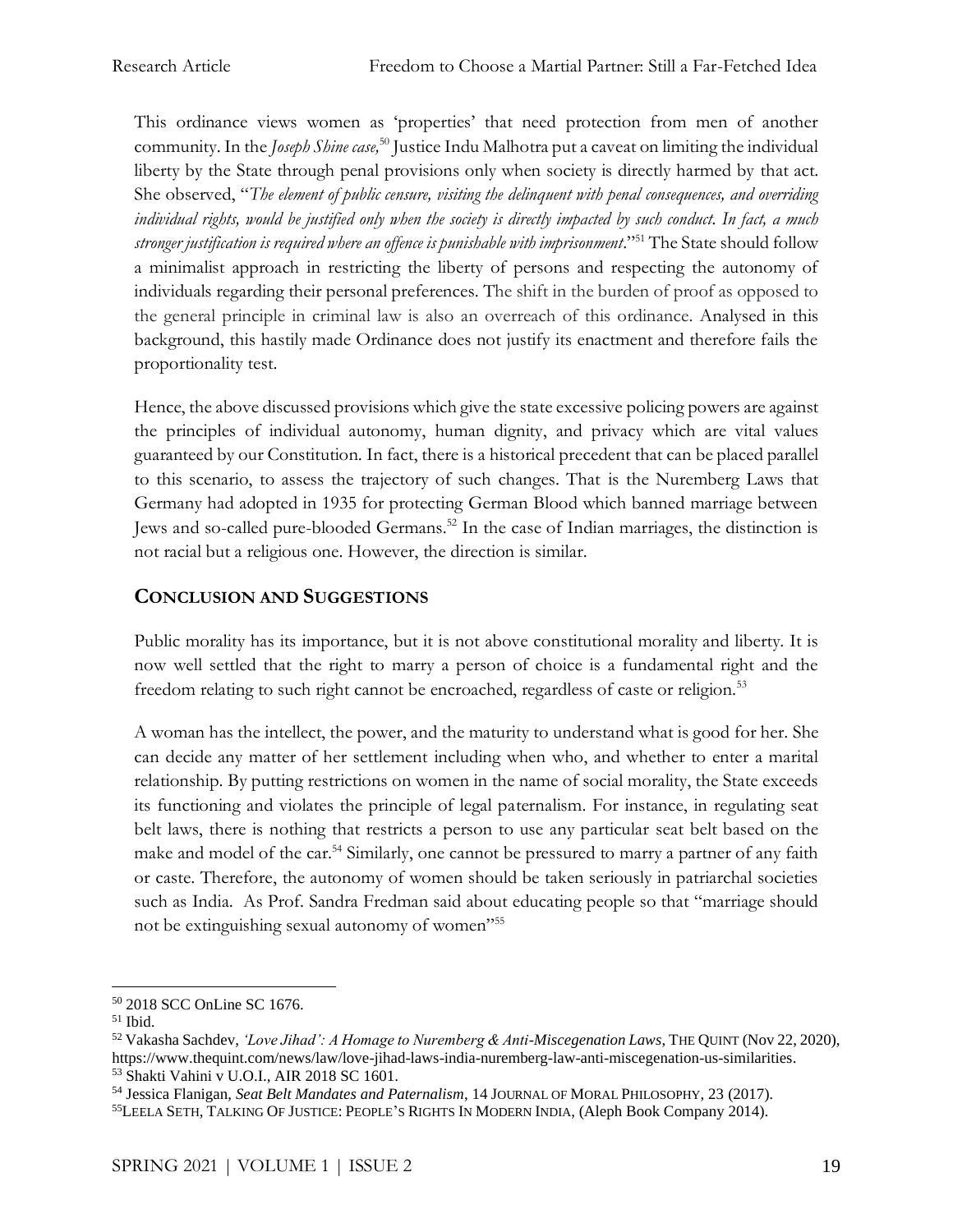This ordinance views women as 'properties' that need protection from men of another community. In the *Joseph Shine case*,<sup>50</sup> Justice Indu Malhotra put a caveat on limiting the individual liberty by the State through penal provisions only when society is directly harmed by that act. She observed, "*The element of public censure, visiting the delinquent with penal consequences, and overriding individual rights, would be justified only when the society is directly impacted by such conduct. In fact, a much stronger justification is required where an offence is punishable with imprisonment*."<sup>51</sup> The State should follow a minimalist approach in restricting the liberty of persons and respecting the autonomy of individuals regarding their personal preferences. The shift in the burden of proof as opposed to the general principle in criminal law is also an overreach of this ordinance. Analysed in this background, this hastily made Ordinance does not justify its enactment and therefore fails the proportionality test.

Hence, the above discussed provisions which give the state excessive policing powers are against the principles of individual autonomy, human dignity, and privacy which are vital values guaranteed by our Constitution. In fact, there is a historical precedent that can be placed parallel to this scenario, to assess the trajectory of such changes. That is the Nuremberg Laws that Germany had adopted in 1935 for protecting German Blood which banned marriage between Jews and so-called pure-blooded Germans.<sup>52</sup> In the case of Indian marriages, the distinction is not racial but a religious one. However, the direction is similar.

# **CONCLUSION AND SUGGESTIONS**

Public morality has its importance, but it is not above constitutional morality and liberty. It is now well settled that the right to marry a person of choice is a fundamental right and the freedom relating to such right cannot be encroached, regardless of caste or religion.<sup>53</sup>

A woman has the intellect, the power, and the maturity to understand what is good for her. She can decide any matter of her settlement including when who, and whether to enter a marital relationship. By putting restrictions on women in the name of social morality, the State exceeds its functioning and violates the principle of legal paternalism. For instance, in regulating seat belt laws, there is nothing that restricts a person to use any particular seat belt based on the make and model of the car.<sup>54</sup> Similarly, one cannot be pressured to marry a partner of any faith or caste. Therefore, the autonomy of women should be taken seriously in patriarchal societies such as India. As Prof. Sandra Fredman said about educating people so that "marriage should not be extinguishing sexual autonomy of women"<sup>55</sup>

<sup>50</sup> 2018 SCC OnLine SC 1676.

<sup>51</sup> Ibid.

<sup>52</sup> Vakasha Sachdev, *'Love Jihad': A Homage to Nuremberg & Anti-Miscegenation Laws*, THE QUINT (Nov 22, 2020), [https://www.thequint.com/news/law/love-jihad-laws-india-nuremberg-law-anti-miscegenation-us-similarities.](https://www.thequint.com/news/law/love-jihad-laws-india-nuremberg-law-anti-miscegenation-us-similarities) <sup>53</sup> Shakti Vahini v U.O.I., AIR 2018 SC 1601.

<sup>54</sup> Jessica Flanigan, *Seat Belt Mandates and Paternalism*, 14 JOURNAL OF MORAL PHILOSOPHY, 23 (2017).

<sup>55</sup>LEELA SETH, TALKING OF JUSTICE: PEOPLE'S RIGHTS IN MODERN INDIA, (Aleph Book Company 2014).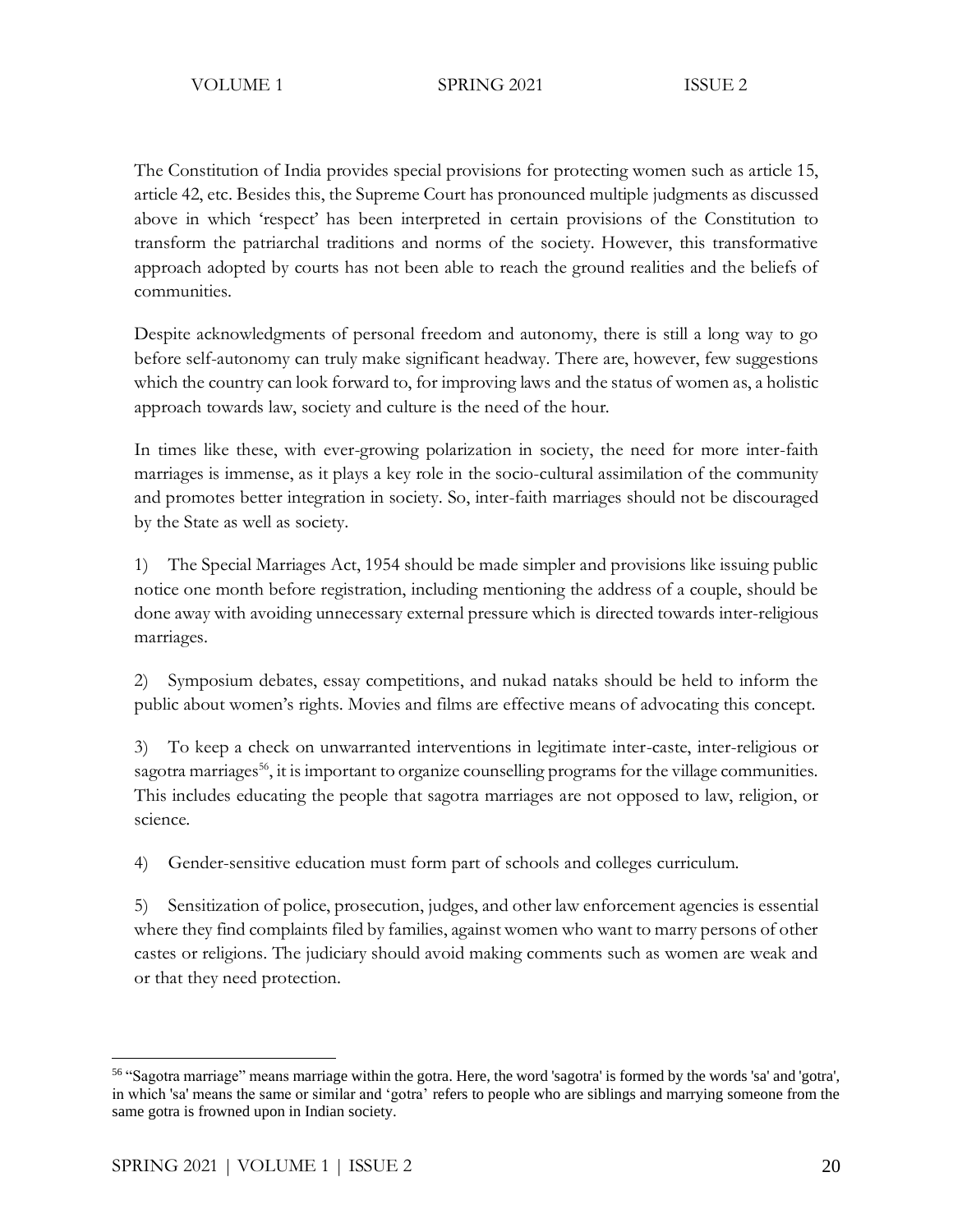The Constitution of India provides special provisions for protecting women such as article 15, article 42, etc. Besides this, the Supreme Court has pronounced multiple judgments as discussed above in which 'respect' has been interpreted in certain provisions of the Constitution to transform the patriarchal traditions and norms of the society. However, this transformative approach adopted by courts has not been able to reach the ground realities and the beliefs of communities.

Despite acknowledgments of personal freedom and autonomy, there is still a long way to go before self-autonomy can truly make significant headway. There are, however, few suggestions which the country can look forward to, for improving laws and the status of women as, a holistic approach towards law, society and culture is the need of the hour.

In times like these, with ever-growing polarization in society, the need for more inter-faith marriages is immense, as it plays a key role in the socio-cultural assimilation of the community and promotes better integration in society. So, inter-faith marriages should not be discouraged by the State as well as society.

1) The Special Marriages Act, 1954 should be made simpler and provisions like issuing public notice one month before registration, including mentioning the address of a couple, should be done away with avoiding unnecessary external pressure which is directed towards inter-religious marriages.

2) Symposium debates, essay competitions, and nukad nataks should be held to inform the public about women's rights. Movies and films are effective means of advocating this concept.

3) To keep a check on unwarranted interventions in legitimate inter-caste, inter-religious or sagotra marriages<sup>56</sup>, it is important to organize counselling programs for the village communities. This includes educating the people that sagotra marriages are not opposed to law, religion, or science.

4) Gender-sensitive education must form part of schools and colleges curriculum.

5) Sensitization of police, prosecution, judges, and other law enforcement agencies is essential where they find complaints filed by families, against women who want to marry persons of other castes or religions. The judiciary should avoid making comments such as women are weak and or that they need protection.

<sup>56</sup> "Sagotra marriage" means marriage within the gotra. Here, the word 'sagotra' is formed by the words 'sa' and 'gotra', in which 'sa' means the same or similar and 'gotra' refers to people who are siblings and marrying someone from the same gotra is frowned upon in Indian society.